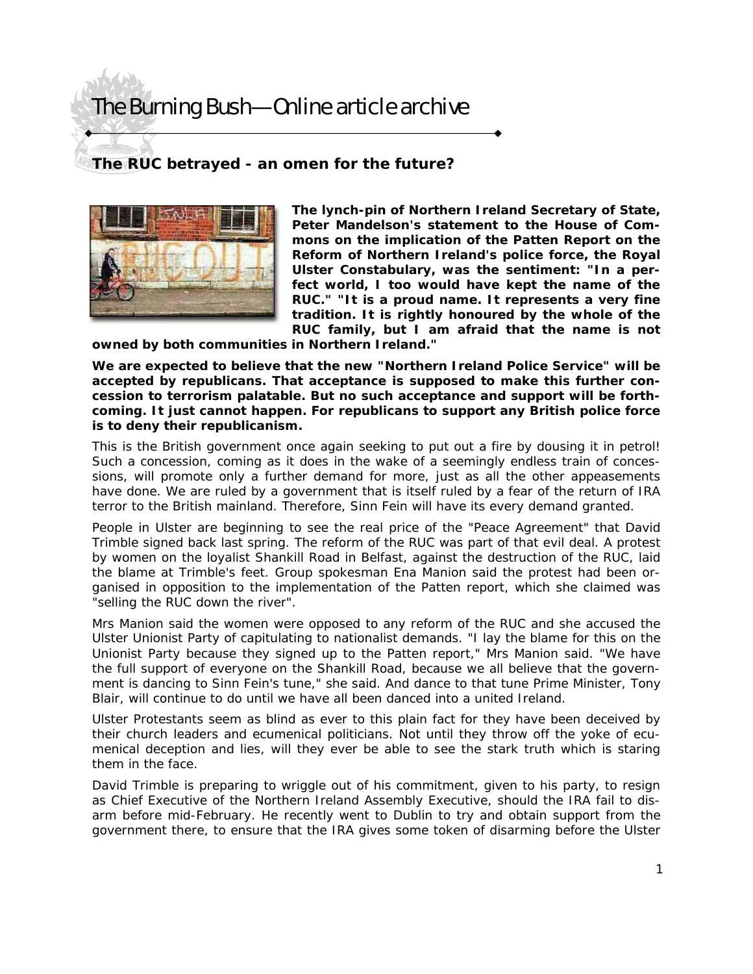## The Burning Bush—Online article archive

## **The RUC betrayed - an omen for the future?**



**The lynch-pin of Northern Ireland Secretary of State, Peter Mandelson's statement to the House of Commons on the implication of the Patten Report on the Reform of Northern Ireland's police force, the Royal Ulster Constabulary, was the sentiment: "In a perfect world, I too would have kept the name of the RUC." "It is a proud name. It represents a very fine tradition. It is rightly honoured by the whole of the RUC family, but I am afraid that the name is not** 

**owned by both communities in Northern Ireland."** 

**We are expected to believe that the new "Northern Ireland Police Service" will be accepted by republicans. That acceptance is supposed to make this further concession to terrorism palatable. But no such acceptance and support will be forthcoming. It just cannot happen. For republicans to support any British police force is to deny their republicanism.** 

This is the British government once again seeking to put out a fire by dousing it in petrol! Such a concession, coming as it does in the wake of a seemingly endless train of concessions, will promote only a further demand for more, just as all the other appeasements have done. We are ruled by a government that is itself ruled by a fear of the return of IRA terror to the British mainland. Therefore, Sinn Fein will have its every demand granted.

People in Ulster are beginning to see the real price of the "Peace Agreement" that David Trimble signed back last spring. The reform of the RUC was part of that evil deal. A protest by women on the loyalist Shankill Road in Belfast, against the destruction of the RUC, laid the blame at Trimble's feet. Group spokesman Ena Manion said the protest had been organised in opposition to the implementation of the Patten report, which she claimed was "selling the RUC down the river".

Mrs Manion said the women were opposed to any reform of the RUC and she accused the Ulster Unionist Party of capitulating to nationalist demands. "I lay the blame for this on the Unionist Party because they signed up to the Patten report," Mrs Manion said. "We have the full support of everyone on the Shankill Road, because we all believe that the government is dancing to Sinn Fein's tune," she said. And dance to that tune Prime Minister, Tony Blair, will continue to do until we have all been danced into a united Ireland.

Ulster Protestants seem as blind as ever to this plain fact for they have been deceived by their church leaders and ecumenical politicians. Not until they throw off the yoke of ecumenical deception and lies, will they ever be able to see the stark truth which is staring them in the face.

David Trimble is preparing to wriggle out of his commitment, given to his party, to resign as Chief Executive of the Northern Ireland Assembly Executive, should the IRA fail to disarm before mid-February. He recently went to Dublin to try and obtain support from the government there, to ensure that the IRA gives some token of disarming before the Ulster